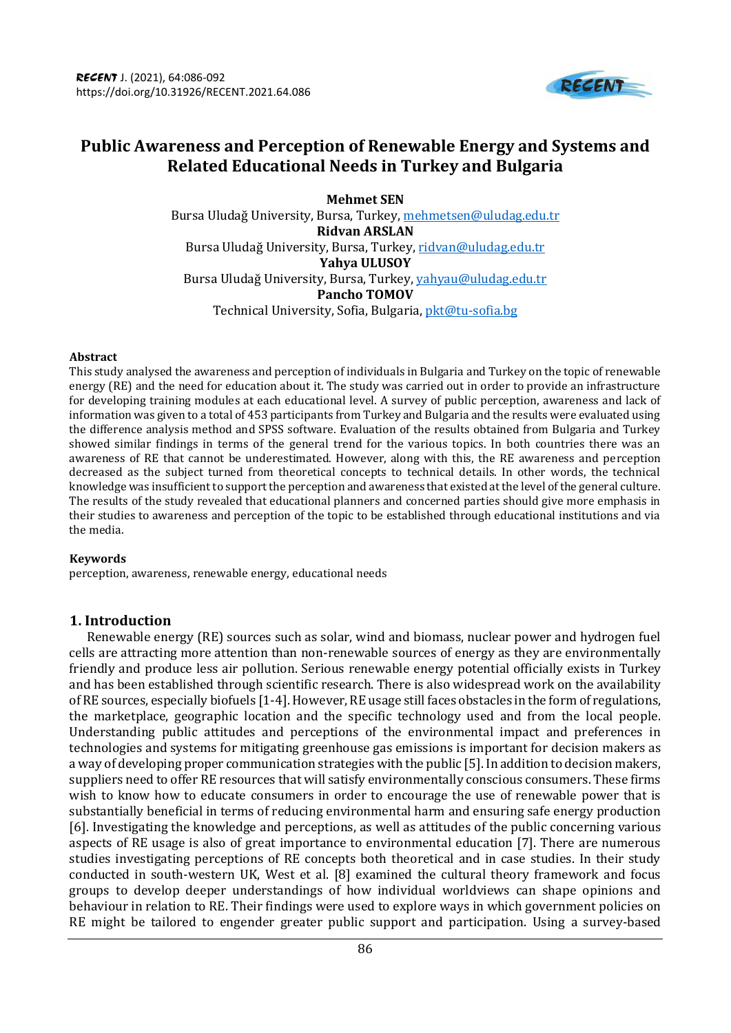

# **Public Awareness and Perception of Renewable Energy and Systems and Related Educational Needs in Turkey and Bulgaria**

**Mehmet SEN** Bursa Uludağ University, Bursa, Turkey, [mehmetsen@uludag.edu.tr](mailto:mehmetsen@uludag.edu.tr) **Ridvan ARSLAN** Bursa Uludağ University, Bursa, Turkey, [ridvan@uludag.edu.tr](mailto:ridvan@uludag.edu.tr) **Yahya ULUSOY** Bursa Uludağ University, Bursa, Turkey[, yahyau@uludag.edu.tr](mailto:yahyau@uludag.edu.tr) **Pancho TOMOV** Technical University, Sofia, Bulgaria, [pkt@tu-sofia.bg](mailto:pkt@tu-sofia.bg)

#### **Abstract**

This study analysed the awareness and perception of individuals in Bulgaria and Turkey on the topic of renewable energy (RE) and the need for education about it. The study was carried out in order to provide an infrastructure for developing training modules at each educational level. A survey of public perception, awareness and lack of information was given to a total of 453 participants from Turkey and Bulgaria and the results were evaluated using the difference analysis method and SPSS software. Evaluation of the results obtained from Bulgaria and Turkey showed similar findings in terms of the general trend for the various topics. In both countries there was an awareness of RE that cannot be underestimated. However, along with this, the RE awareness and perception decreased as the subject turned from theoretical concepts to technical details. In other words, the technical knowledge was insufficient to support the perception and awareness that existed at the level of the general culture. The results of the study revealed that educational planners and concerned parties should give more emphasis in their studies to awareness and perception of the topic to be established through educational institutions and via the media.

#### **Keywords**

perception, awareness, renewable energy, educational needs

## **1. Introduction**

Renewable energy (RE) sources such as solar, wind and biomass, nuclear power and hydrogen fuel cells are attracting more attention than non-renewable sources of energy as they are environmentally friendly and produce less air pollution. Serious renewable energy potential officially exists in Turkey and has been established through scientific research. There is also widespread work on the availability of RE sources, especially biofuels [1-4]. However, RE usage still faces obstacles in the form of regulations, the marketplace, geographic location and the specific technology used and from the local people. Understanding public attitudes and perceptions of the environmental impact and preferences in technologies and systems for mitigating greenhouse gas emissions is important for decision makers as a way of developing proper communication strategies with the public [5]. In addition to decision makers, suppliers need to offer RE resources that will satisfy environmentally conscious consumers. These firms wish to know how to educate consumers in order to encourage the use of renewable power that is substantially beneficial in terms of reducing environmental harm and ensuring safe energy production [6]. Investigating the knowledge and perceptions, as well as attitudes of the public concerning various aspects of RE usage is also of great importance to environmental education [7]. There are numerous studies investigating perceptions of RE concepts both theoretical and in case studies. In their study conducted in south-western UK, West et al. [8] examined the cultural theory framework and focus groups to develop deeper understandings of how individual worldviews can shape opinions and behaviour in relation to RE. Their findings were used to explore ways in which government policies on RE might be tailored to engender greater public support and participation. Using a survey-based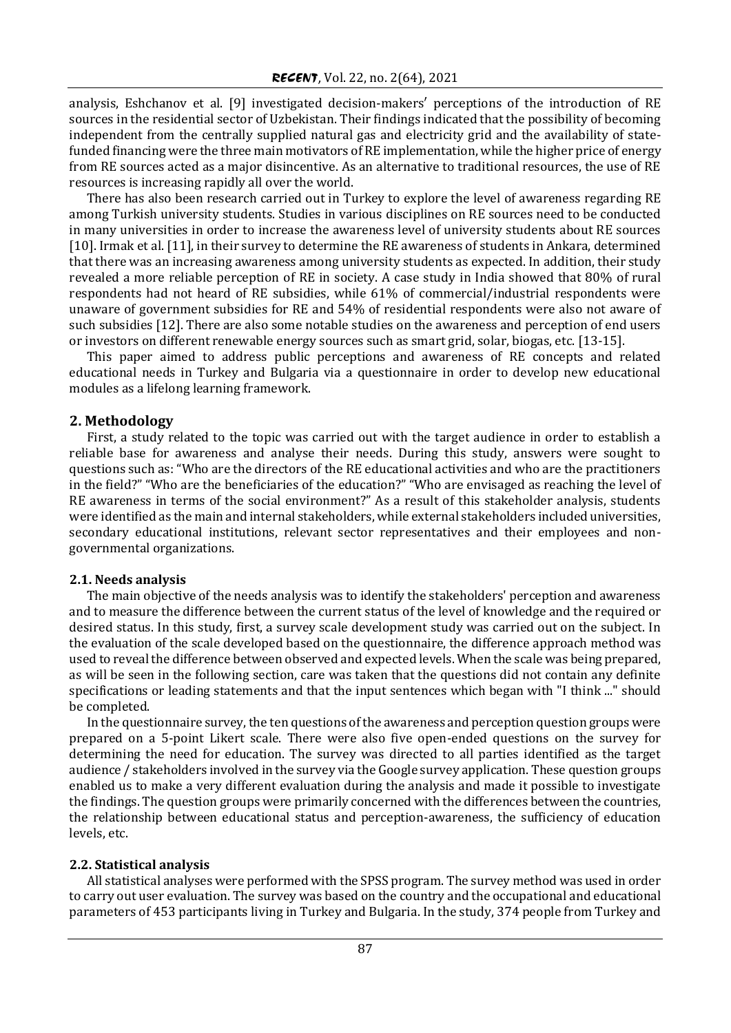analysis, Eshchanov et al. [9] investigated decision-makers′ perceptions of the introduction of RE sources in the residential sector of Uzbekistan. Their findings indicated that the possibility of becoming independent from the centrally supplied natural gas and electricity grid and the availability of statefunded financing were the three main motivators of RE implementation, while the higher price of energy from RE sources acted as a major disincentive. As an alternative to traditional resources, the use of RE resources is increasing rapidly all over the world.

There has also been research carried out in Turkey to explore the level of awareness regarding RE among Turkish university students. Studies in various disciplines on RE sources need to be conducted in many universities in order to increase the awareness level of university students about RE sources [10]. Irmak et al. [11], in their survey to determine the RE awareness of students in Ankara, determined that there was an increasing awareness among university students as expected. In addition, their study revealed a more reliable perception of RE in society. A case study in India showed that 80% of rural respondents had not heard of RE subsidies, while 61% of commercial/industrial respondents were unaware of government subsidies for RE and 54% of residential respondents were also not aware of such subsidies [12]. There are also some notable studies on the awareness and perception of end users or investors on different renewable energy sources such as smart grid, solar, biogas, etc. [13-15].

This paper aimed to address public perceptions and awareness of RE concepts and related educational needs in Turkey and Bulgaria via a questionnaire in order to develop new educational modules as a lifelong learning framework.

## **2. Methodology**

First, a study related to the topic was carried out with the target audience in order to establish a reliable base for awareness and analyse their needs. During this study, answers were sought to questions such as: "Who are the directors of the RE educational activities and who are the practitioners in the field?" "Who are the beneficiaries of the education?" "Who are envisaged as reaching the level of RE awareness in terms of the social environment?" As a result of this stakeholder analysis, students were identified as the main and internal stakeholders, while external stakeholders included universities, secondary educational institutions, relevant sector representatives and their employees and nongovernmental organizations.

## **2.1. Needs analysis**

The main objective of the needs analysis was to identify the stakeholders' perception and awareness and to measure the difference between the current status of the level of knowledge and the required or desired status. In this study, first, a survey scale development study was carried out on the subject. In the evaluation of the scale developed based on the questionnaire, the difference approach method was used to reveal the difference between observed and expected levels. When the scale was being prepared, as will be seen in the following section, care was taken that the questions did not contain any definite specifications or leading statements and that the input sentences which began with "I think ..." should be completed.

In the questionnaire survey, the ten questions of the awareness and perception question groups were prepared on a 5-point Likert scale. There were also five open-ended questions on the survey for determining the need for education. The survey was directed to all parties identified as the target audience / stakeholders involved in the survey via the Google survey application. These question groups enabled us to make a very different evaluation during the analysis and made it possible to investigate the findings. The question groups were primarily concerned with the differences between the countries, the relationship between educational status and perception-awareness, the sufficiency of education levels, etc.

## **2.2. Statistical analysis**

All statistical analyses were performed with the SPSS program. The survey method was used in order to carry out user evaluation. The survey was based on the country and the occupational and educational parameters of 453 participants living in Turkey and Bulgaria. In the study, 374 people from Turkey and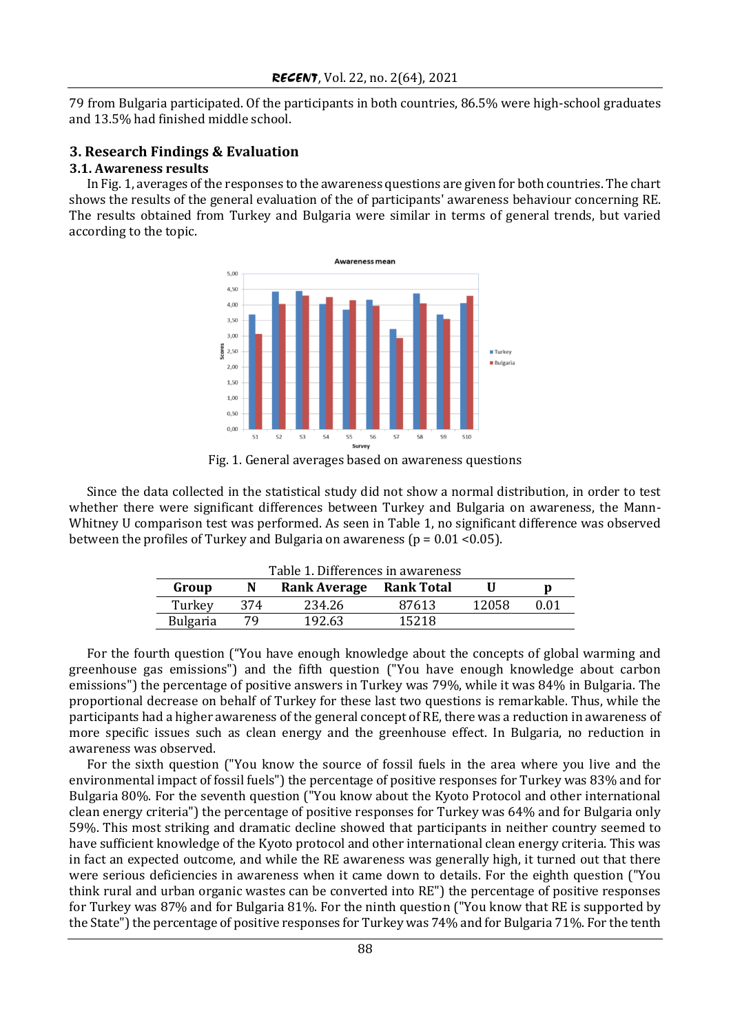79 from Bulgaria participated. Of the participants in both countries, 86.5% were high-school graduates and 13.5% had finished middle school.

#### **3. Research Findings & Evaluation**

#### **3.1. Awareness results**

In Fig. 1, averages of the responses to the awareness questions are given for both countries. The chart shows the results of the general evaluation of the of participants' awareness behaviour concerning RE. The results obtained from Turkey and Bulgaria were similar in terms of general trends, but varied according to the topic.



Fig. 1. General averages based on awareness questions

Since the data collected in the statistical study did not show a normal distribution, in order to test whether there were significant differences between Turkey and Bulgaria on awareness, the Mann-Whitney U comparison test was performed. As seen in Table 1, no significant difference was observed between the profiles of Turkey and Bulgaria on awareness ( $p = 0.01 \le 0.05$ ).

| Table 1. Differences in awareness |                     |       |                   |      |  |  |  |
|-----------------------------------|---------------------|-------|-------------------|------|--|--|--|
|                                   | <b>Rank Average</b> |       |                   | D    |  |  |  |
| 374                               | 234.26              | 87613 | 12058             | በ በ1 |  |  |  |
| 79                                | 192.63              | 15218 |                   |      |  |  |  |
|                                   |                     |       | <b>Rank Total</b> |      |  |  |  |

For the fourth question ("You have enough knowledge about the concepts of global warming and greenhouse gas emissions") and the fifth question ("You have enough knowledge about carbon emissions") the percentage of positive answers in Turkey was 79%, while it was 84% in Bulgaria. The proportional decrease on behalf of Turkey for these last two questions is remarkable. Thus, while the participants had a higher awareness of the general concept of RE, there was a reduction in awareness of more specific issues such as clean energy and the greenhouse effect. In Bulgaria, no reduction in awareness was observed.

For the sixth question ("You know the source of fossil fuels in the area where you live and the environmental impact of fossil fuels") the percentage of positive responses for Turkey was 83% and for Bulgaria 80%. For the seventh question ("You know about the Kyoto Protocol and other international clean energy criteria") the percentage of positive responses for Turkey was 64% and for Bulgaria only 59%. This most striking and dramatic decline showed that participants in neither country seemed to have sufficient knowledge of the Kyoto protocol and other international clean energy criteria. This was in fact an expected outcome, and while the RE awareness was generally high, it turned out that there were serious deficiencies in awareness when it came down to details. For the eighth question ("You think rural and urban organic wastes can be converted into RE") the percentage of positive responses for Turkey was 87% and for Bulgaria 81%. For the ninth question ("You know that RE is supported by the State") the percentage of positive responses for Turkey was 74% and for Bulgaria 71%. For the tenth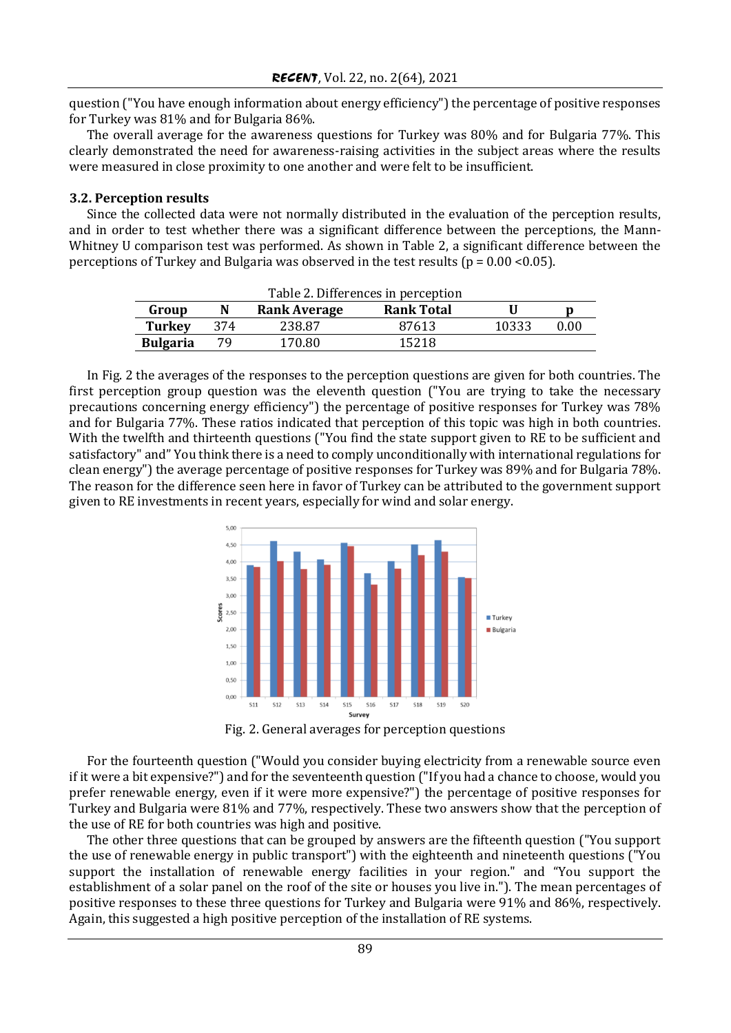question ("You have enough information about energy efficiency") the percentage of positive responses for Turkey was 81% and for Bulgaria 86%.

The overall average for the awareness questions for Turkey was 80% and for Bulgaria 77%. This clearly demonstrated the need for awareness-raising activities in the subject areas where the results were measured in close proximity to one another and were felt to be insufficient.

#### **3.2. Perception results**

Since the collected data were not normally distributed in the evaluation of the perception results, and in order to test whether there was a significant difference between the perceptions, the Mann-Whitney U comparison test was performed. As shown in Table 2, a significant difference between the perceptions of Turkey and Bulgaria was observed in the test results ( $p = 0.00 \le 0.05$ ).

| Table 2. Differences in perception |     |                     |                   |       |      |  |  |
|------------------------------------|-----|---------------------|-------------------|-------|------|--|--|
| Group                              |     | <b>Rank Average</b> | <b>Rank Total</b> |       |      |  |  |
| <b>Turkey</b>                      | 374 | 238.87              | 87613             | 10333 | 0.00 |  |  |
| <b>Bulgaria</b>                    | 79. | 170.80              | 15218             |       |      |  |  |

In Fig. 2 the averages of the responses to the perception questions are given for both countries. The first perception group question was the eleventh question ("You are trying to take the necessary precautions concerning energy efficiency") the percentage of positive responses for Turkey was 78% and for Bulgaria 77%. These ratios indicated that perception of this topic was high in both countries. With the twelfth and thirteenth questions ("You find the state support given to RE to be sufficient and satisfactory" and" You think there is a need to comply unconditionally with international regulations for clean energy") the average percentage of positive responses for Turkey was 89% and for Bulgaria 78%. The reason for the difference seen here in favor of Turkey can be attributed to the government support given to RE investments in recent years, especially for wind and solar energy.



Fig. 2. General averages for perception questions

For the fourteenth question ("Would you consider buying electricity from a renewable source even if it were a bit expensive?") and for the seventeenth question ("If you had a chance to choose, would you prefer renewable energy, even if it were more expensive?") the percentage of positive responses for Turkey and Bulgaria were 81% and 77%, respectively. These two answers show that the perception of the use of RE for both countries was high and positive.

The other three questions that can be grouped by answers are the fifteenth question ("You support the use of renewable energy in public transport") with the eighteenth and nineteenth questions ("You support the installation of renewable energy facilities in your region." and "You support the establishment of a solar panel on the roof of the site or houses you live in."). The mean percentages of positive responses to these three questions for Turkey and Bulgaria were 91% and 86%, respectively. Again, this suggested a high positive perception of the installation of RE systems.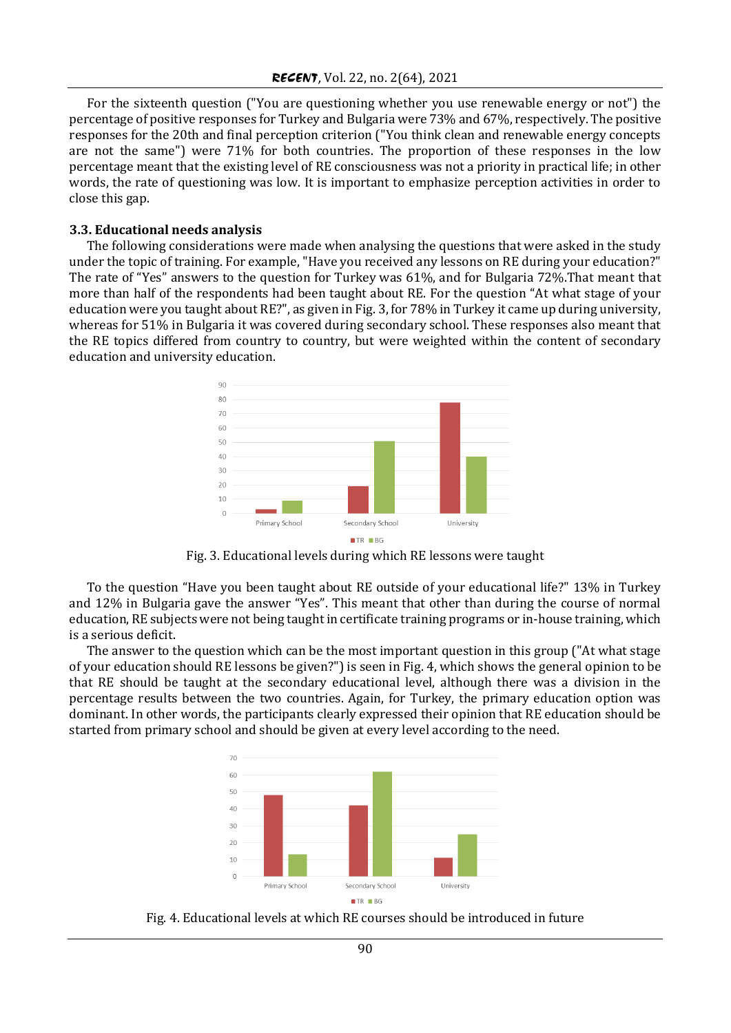For the sixteenth question ("You are questioning whether you use renewable energy or not") the percentage of positive responses for Turkey and Bulgaria were 73% and 67%, respectively. The positive responses for the 20th and final perception criterion ("You think clean and renewable energy concepts are not the same") were 71% for both countries. The proportion of these responses in the low percentage meant that the existing level of RE consciousness was not a priority in practical life; in other words, the rate of questioning was low. It is important to emphasize perception activities in order to close this gap.

#### **3.3. Educational needs analysis**

The following considerations were made when analysing the questions that were asked in the study under the topic of training. For example, "Have you received any lessons on RE during your education?" The rate of "Yes" answers to the question for Turkey was 61%, and for Bulgaria 72%.That meant that more than half of the respondents had been taught about RE. For the question "At what stage of your education were you taught about RE?", as given in Fig. 3, for 78% in Turkey it came up during university, whereas for 51% in Bulgaria it was covered during secondary school. These responses also meant that the RE topics differed from country to country, but were weighted within the content of secondary education and university education.



Fig. 3. Educational levels during which RE lessons were taught

To the question "Have you been taught about RE outside of your educational life?" 13% in Turkey and 12% in Bulgaria gave the answer "Yes". This meant that other than during the course of normal education, RE subjects were not being taught in certificate training programs or in-house training, which is a serious deficit.

The answer to the question which can be the most important question in this group ("At what stage of your education should RE lessons be given?") is seen in Fig. 4, which shows the general opinion to be that RE should be taught at the secondary educational level, although there was a division in the percentage results between the two countries. Again, for Turkey, the primary education option was dominant. In other words, the participants clearly expressed their opinion that RE education should be started from primary school and should be given at every level according to the need.



Fig. 4. Educational levels at which RE courses should be introduced in future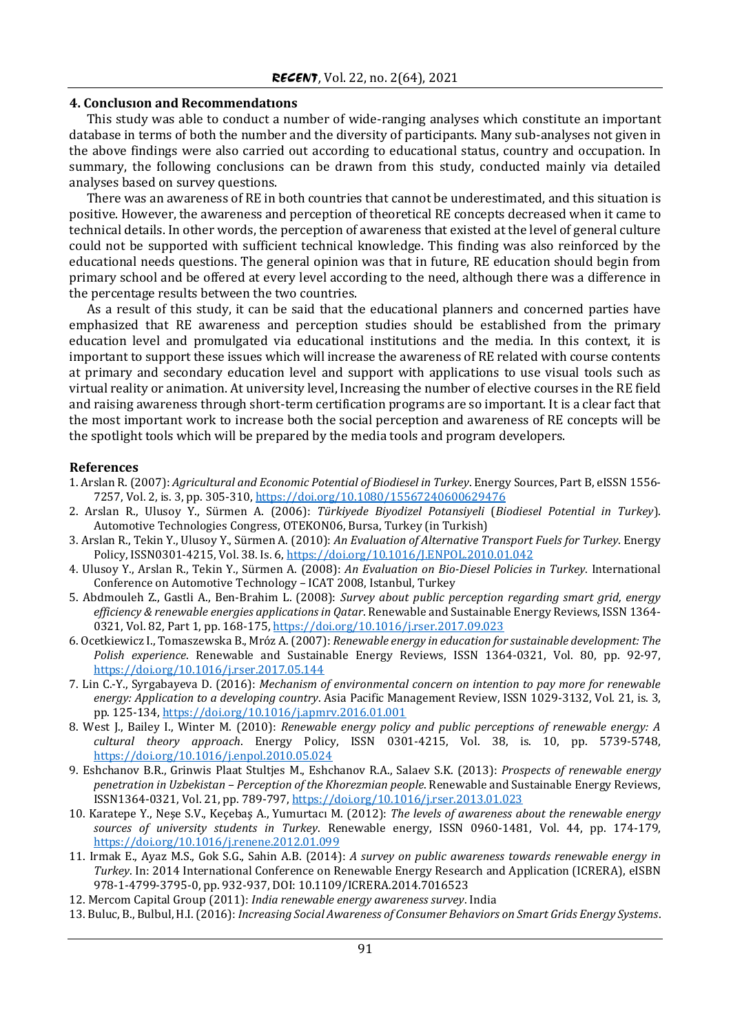#### **4. Conclusıon and Recommendatıons**

This study was able to conduct a number of wide-ranging analyses which constitute an important database in terms of both the number and the diversity of participants. Many sub-analyses not given in the above findings were also carried out according to educational status, country and occupation. In summary, the following conclusions can be drawn from this study, conducted mainly via detailed analyses based on survey questions.

There was an awareness of RE in both countries that cannot be underestimated, and this situation is positive. However, the awareness and perception of theoretical RE concepts decreased when it came to technical details. In other words, the perception of awareness that existed at the level of general culture could not be supported with sufficient technical knowledge. This finding was also reinforced by the educational needs questions. The general opinion was that in future, RE education should begin from primary school and be offered at every level according to the need, although there was a difference in the percentage results between the two countries.

As a result of this study, it can be said that the educational planners and concerned parties have emphasized that RE awareness and perception studies should be established from the primary education level and promulgated via educational institutions and the media. In this context, it is important to support these issues which will increase the awareness of RE related with course contents at primary and secondary education level and support with applications to use visual tools such as virtual reality or animation. At university level, Increasing the number of elective courses in the RE field and raising awareness through short-term certification programs are so important. It is a clear fact that the most important work to increase both the social perception and awareness of RE concepts will be the spotlight tools which will be prepared by the media tools and program developers.

#### **References**

- 1. Arslan R. (2007): *Agricultural and Economic Potential of Biodiesel in Turkey*. Energy Sources, Part B, eISSN 1556- 7257, Vol. 2, is. 3, pp. 305-310[, https://doi.org/10.1080/15567240600629476](https://doi.org/10.1080/15567240600629476)
- 2. Arslan R., Ulusoy Y., Sürmen A. (2006): *Türkiyede Biyodizel Potansiyeli* (*Biodiesel Potential in Turkey*). Automotive Technologies Congress, OTEKON06, Bursa, Turkey (in Turkish)
- 3. Arslan R., Tekin Y., Ulusoy Y., Sürmen A. (2010): *An Evaluation of Alternative Transport Fuels for Turkey*. Energy Policy, ISSN0301-4215, Vol. 38. Is. 6,<https://doi.org/10.1016/J.ENPOL.2010.01.042>
- 4. Ulusoy Y., Arslan R., Tekin Y., Sürmen A. (2008): *An Evaluation on Bio-Diesel Policies in Turkey*. International Conference on Automotive Technology – ICAT 2008, Istanbul, Turkey
- 5. Abdmouleh Z., Gastli A., Ben-Brahim L. (2008): *Survey about public perception regarding smart grid, energy efficiency & renewable energies applications in Qatar*. Renewable and Sustainable Energy Reviews, ISSN 1364- 0321, Vol. 82, Part 1, pp. 168-175,<https://doi.org/10.1016/j.rser.2017.09.023>
- 6. Ocetkiewicz I., Tomaszewska B., Mróz A. (2007): *Renewable energy in education for sustainable development: The Polish experience*. Renewable and Sustainable Energy Reviews, ISSN 1364-0321, Vol. 80, pp. 92-97, <https://doi.org/10.1016/j.rser.2017.05.144>
- 7. Lin C.-Y., Syrgabayeva D. (2016): *Mechanism of environmental concern on intention to pay more for renewable energy: Application to a developing country*. Asia Pacific Management Review, ISSN 1029-3132, Vol. 21, is. 3, pp. 125-134[, https://doi.org/10.1016/j.apmrv.2016.01.001](https://doi.org/10.1016/j.apmrv.2016.01.001)
- 8. West J., Bailey I., Winter M. (2010): *Renewable energy policy and public perceptions of renewable energy: A cultural theory approach*. Energy Policy, ISSN 0301-4215, Vol. 38, is. 10, pp. 5739-5748, <https://doi.org/10.1016/j.enpol.2010.05.024>
- 9. Eshchanov B.R., Grinwis Plaat Stultjes M., Eshchanov R.A., Salaev S.K. (2013): *Prospects of renewable energy penetration in Uzbekistan – Perception of the Khorezmian people*. Renewable and Sustainable Energy Reviews, ISSN1364-0321, Vol. 21, pp. 789-797,<https://doi.org/10.1016/j.rser.2013.01.023>
- 10. Karatepe Y., Neşe S.V., Keçebaş A., Yumurtacı M. (2012): *The levels of awareness about the renewable energy sources of university students in Turkey*. Renewable energy, ISSN 0960-1481, Vol. 44, pp. 174-179, <https://doi.org/10.1016/j.renene.2012.01.099>
- 11. Irmak E., Ayaz M.S., Gok S.G., Sahin A.B. (2014): *A survey on public awareness towards renewable energy in Turkey*. In: 2014 International Conference on Renewable Energy Research and Application (ICRERA), eISBN 978-1-4799-3795-0, pp. 932-937, DOI: 10.1109/ICRERA.2014.7016523
- 12. Mercom Capital Group (2011): *India renewable energy awareness survey*. India
- 13. Buluc, B., Bulbul, H.I. (2016): *Increasing Social Awareness of Consumer Behaviors on Smart Grids Energy Systems*.